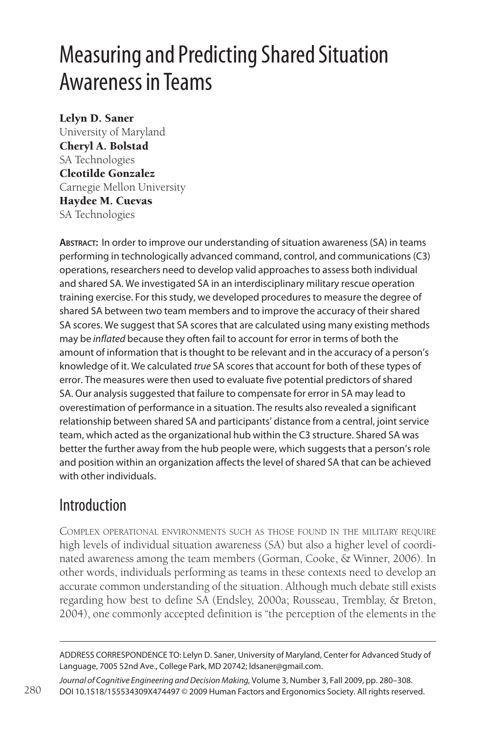# Measuring and Predicting Shared Situation Awareness in Teams

#### Lelyn D. Saner

University of Maryland Cheryl A. Bolstad SA Technologies Cleotilde Gonzalez Carnegie Mellon University Haydee M. Cuevas SA Technologies

**ABSTRACT:** In order to improve our understanding of situation awareness (SA) in teams performing in technologically advanced command, control, and communications (C3) operations, researchers need to develop valid approaches to assess both individual and shared SA. We investigated SA in an interdisciplinary military rescue operation training exercise. For this study, we developed procedures to measure the degree of shared SA between two team members and to improve the accuracy of their shared SA scores. We suggest that SA scores that are calculated using many existing methods may be *inflated* because they often fail to account for error in terms of both the amount of information that is thought to be relevant and in the accuracy of a person's knowledge of it. We calculated true SA scores that account for both of these types of error. The measures were then used to evaluate five potential predictors of shared SA. Our analysis suggested that failure to compensate for error in SA may lead to overestimation of performance in a situation. The results also revealed a significant relationship between shared SA and participants' distance from a central, joint service team, which acted as the organizational hub within the C3 structure. Shared SA was better the further away from the hub people were, which suggests that a person's role and position within an organization affects the level of shared SA that can be achieved with other individuals.

# Introduction

COMPLEX OPERATIONAL ENVIRONMENTS SUCH AS THOSE FOUND IN THE MILITARY REQUIRE high levels of individual situation awareness (SA) but also a higher level of coordinated awareness among the team members (Gorman, Cooke, & Winner, 2006). In other words, individuals performing as teams in these contexts need to develop an accurate common understanding of the situation. Although much debate still exists regarding how best to define SA (Endsley, 2000a; Rousseau, Tremblay, & Breton, 2004), one commonly accepted definition is "the perception of the elements in the

Journal of Cognitive Engineering and Decision Making, Volume 3, Number 3, Fall 2009, pp. 280–308. DOI 10.1518/155534309X474497 © 2009 Human Factors and Ergonomics Society. All rights reserved.

ADDRESS CORRESPONDENCE TO: Lelyn D. Saner, University of Maryland, Center for Advanced Study of Language, 7005 52nd Ave., College Park, MD 20742; ldsaner@gmail.com.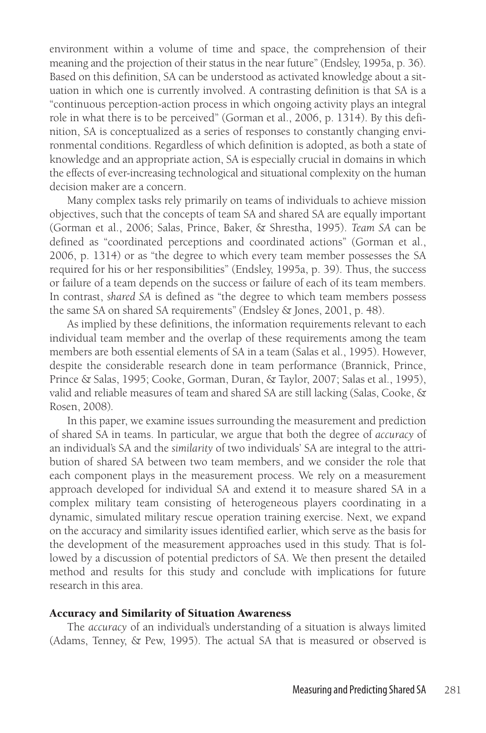environment within a volume of time and space, the comprehension of their meaning and the projection of their status in the near future" (Endsley, 1995a, p. 36). Based on this definition, SA can be understood as activated knowledge about a situation in which one is currently involved. A contrasting definition is that SA is a "continuous perception-action process in which ongoing activity plays an integral role in what there is to be perceived" (Gorman et al., 2006, p. 1314). By this definition, SA is conceptualized as a series of responses to constantly changing environmental conditions. Regardless of which definition is adopted, as both a state of knowledge and an appropriate action, SA is especially crucial in domains in which the effects of ever-increasing technological and situational complexity on the human decision maker are a concern.

Many complex tasks rely primarily on teams of individuals to achieve mission objectives, such that the concepts of team SA and shared SA are equally important (Gorman et al., 2006; Salas, Prince, Baker, & Shrestha, 1995). *Team SA* can be defined as "coordinated perceptions and coordinated actions" (Gorman et al., 2006, p. 1314) or as "the degree to which every team member possesses the SA required for his or her responsibilities" (Endsley, 1995a, p. 39). Thus, the success or failure of a team depends on the success or failure of each of its team members. In contrast, *shared SA* is defined as "the degree to which team members possess the same SA on shared SA requirements" (Endsley & Jones, 2001, p. 48).

As implied by these definitions, the information requirements relevant to each individual team member and the overlap of these requirements among the team members are both essential elements of SA in a team (Salas et al., 1995). However, despite the considerable research done in team performance (Brannick, Prince, Prince & Salas, 1995; Cooke, Gorman, Duran, & Taylor, 2007; Salas et al., 1995), valid and reliable measures of team and shared SA are still lacking (Salas, Cooke, & Rosen, 2008)*.*

In this paper, we examine issues surrounding the measurement and prediction of shared SA in teams. In particular, we argue that both the degree of *accuracy* of an individual's SA and the *similarity* of two individuals' SA are integral to the attribution of shared SA between two team members, and we consider the role that each component plays in the measurement process. We rely on a measurement approach developed for individual SA and extend it to measure shared SA in a complex military team consisting of heterogeneous players coordinating in a dynamic, simulated military rescue operation training exercise. Next, we expand on the accuracy and similarity issues identified earlier, which serve as the basis for the development of the measurement approaches used in this study. That is followed by a discussion of potential predictors of SA. We then present the detailed method and results for this study and conclude with implications for future research in this area.

#### Accuracy and Similarity of Situation Awareness

The *accuracy* of an individual's understanding of a situation is always limited (Adams, Tenney, & Pew, 1995). The actual SA that is measured or observed is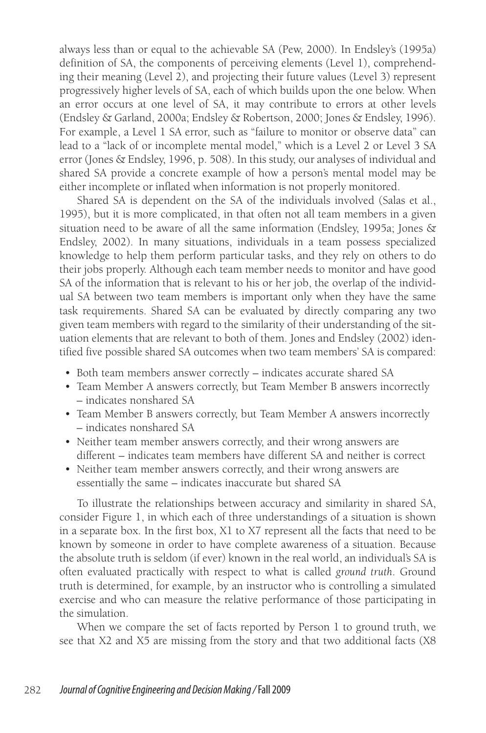always less than or equal to the achievable SA (Pew, 2000). In Endsley's (1995a) definition of SA, the components of perceiving elements (Level 1), comprehending their meaning (Level 2), and projecting their future values (Level 3) represent progressively higher levels of SA, each of which builds upon the one below. When an error occurs at one level of SA, it may contribute to errors at other levels (Endsley & Garland, 2000a; Endsley & Robertson, 2000; Jones & Endsley, 1996). For example, a Level 1 SA error, such as "failure to monitor or observe data" can lead to a "lack of or incomplete mental model," which is a Level 2 or Level 3 SA error (Jones & Endsley, 1996, p. 508). In this study, our analyses of individual and shared SA provide a concrete example of how a person's mental model may be either incomplete or inflated when information is not properly monitored.

Shared SA is dependent on the SA of the individuals involved (Salas et al., 1995), but it is more complicated, in that often not all team members in a given situation need to be aware of all the same information (Endsley, 1995a; Jones & Endsley, 2002). In many situations, individuals in a team possess specialized knowledge to help them perform particular tasks, and they rely on others to do their jobs properly. Although each team member needs to monitor and have good SA of the information that is relevant to his or her job, the overlap of the individual SA between two team members is important only when they have the same task requirements. Shared SA can be evaluated by directly comparing any two given team members with regard to the similarity of their understanding of the situation elements that are relevant to both of them. Jones and Endsley (2002) identified five possible shared SA outcomes when two team members' SA is compared:

- Both team members answer correctly indicates accurate shared SA
- Team Member A answers correctly, but Team Member B answers incorrectly – indicates nonshared SA
- Team Member B answers correctly, but Team Member A answers incorrectly – indicates nonshared SA
- Neither team member answers correctly, and their wrong answers are different – indicates team members have different SA and neither is correct
- Neither team member answers correctly, and their wrong answers are essentially the same – indicates inaccurate but shared SA

To illustrate the relationships between accuracy and similarity in shared SA, consider Figure 1, in which each of three understandings of a situation is shown in a separate box. In the first box, X1 to X7 represent all the facts that need to be known by someone in order to have complete awareness of a situation. Because the absolute truth is seldom (if ever) known in the real world, an individual's SA is often evaluated practically with respect to what is called *ground truth*. Ground truth is determined, for example, by an instructor who is controlling a simulated exercise and who can measure the relative performance of those participating in the simulation.

When we compare the set of facts reported by Person 1 to ground truth, we see that X2 and X5 are missing from the story and that two additional facts (X8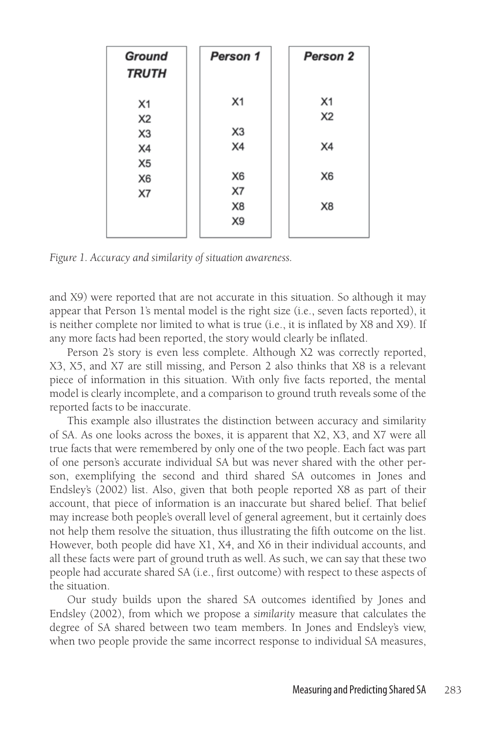| Ground<br><b>TRUTH</b> | Person 1       | Person 2             |
|------------------------|----------------|----------------------|
| X1<br>X <sub>2</sub>   | X1             | X1<br>X <sub>2</sub> |
| X <sub>3</sub>         | X <sub>3</sub> |                      |
| X4<br>X <sub>5</sub>   | X4             | X4                   |
| X <sub>6</sub>         | X <sub>6</sub> | X <sub>6</sub>       |
| X7                     | X7             |                      |
|                        | X <sub>8</sub> | X <sub>8</sub>       |
|                        | X <sub>9</sub> |                      |

*Figure 1. Accuracy and similarity of situation awareness.*

and X9) were reported that are not accurate in this situation. So although it may appear that Person 1's mental model is the right size (i.e., seven facts reported), it is neither complete nor limited to what is true (i.e., it is inflated by X8 and X9). If any more facts had been reported, the story would clearly be inflated.

Person 2's story is even less complete. Although X2 was correctly reported, X3, X5, and X7 are still missing, and Person 2 also thinks that X8 is a relevant piece of information in this situation. With only five facts reported, the mental model is clearly incomplete, and a comparison to ground truth reveals some of the reported facts to be inaccurate.

This example also illustrates the distinction between accuracy and similarity of SA. As one looks across the boxes, it is apparent that X2, X3, and X7 were all true facts that were remembered by only one of the two people. Each fact was part of one person's accurate individual SA but was never shared with the other person, exemplifying the second and third shared SA outcomes in Jones and Endsley's (2002) list. Also, given that both people reported X8 as part of their account, that piece of information is an inaccurate but shared belief. That belief may increase both people's overall level of general agreement, but it certainly does not help them resolve the situation, thus illustrating the fifth outcome on the list. However, both people did have X1, X4, and X6 in their individual accounts, and all these facts were part of ground truth as well. As such, we can say that these two people had accurate shared SA (i.e., first outcome) with respect to these aspects of the situation.

Our study builds upon the shared SA outcomes identified by Jones and Endsley (2002), from which we propose a *similarity* measure that calculates the degree of SA shared between two team members. In Jones and Endsley's view, when two people provide the same incorrect response to individual SA measures,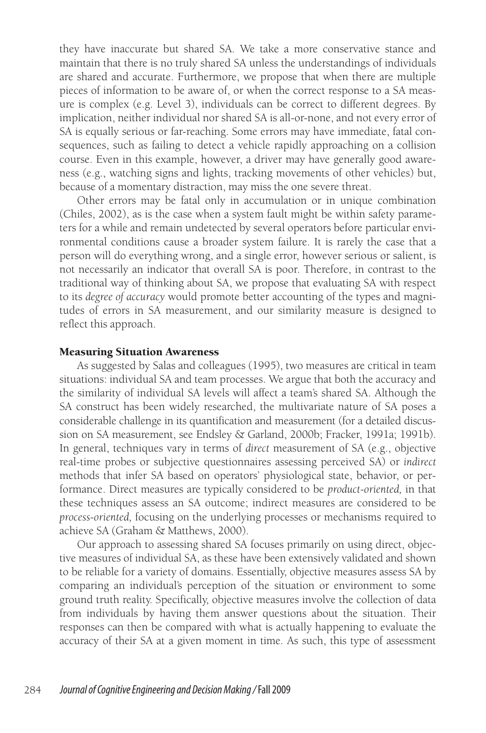they have inaccurate but shared SA. We take a more conservative stance and maintain that there is no truly shared SA unless the understandings of individuals are shared and accurate. Furthermore, we propose that when there are multiple pieces of information to be aware of, or when the correct response to a SA measure is complex (e.g. Level 3), individuals can be correct to different degrees. By implication, neither individual nor shared SA is all-or-none, and not every error of SA is equally serious or far-reaching. Some errors may have immediate, fatal consequences, such as failing to detect a vehicle rapidly approaching on a collision course. Even in this example, however, a driver may have generally good awareness (e.g., watching signs and lights, tracking movements of other vehicles) but, because of a momentary distraction, may miss the one severe threat.

Other errors may be fatal only in accumulation or in unique combination (Chiles, 2002), as is the case when a system fault might be within safety parameters for a while and remain undetected by several operators before particular environmental conditions cause a broader system failure. It is rarely the case that a person will do everything wrong, and a single error, however serious or salient, is not necessarily an indicator that overall SA is poor. Therefore, in contrast to the traditional way of thinking about SA, we propose that evaluating SA with respect to its *degree of accuracy* would promote better accounting of the types and magnitudes of errors in SA measurement, and our similarity measure is designed to reflect this approach.

#### Measuring Situation Awareness

As suggested by Salas and colleagues (1995), two measures are critical in team situations: individual SA and team processes. We argue that both the accuracy and the similarity of individual SA levels will affect a team's shared SA. Although the SA construct has been widely researched, the multivariate nature of SA poses a considerable challenge in its quantification and measurement (for a detailed discussion on SA measurement, see Endsley & Garland, 2000b; Fracker, 1991a; 1991b). In general, techniques vary in terms of *direct* measurement of SA (e.g., objective real-time probes or subjective questionnaires assessing perceived SA) or *indirect* methods that infer SA based on operators' physiological state, behavior, or performance. Direct measures are typically considered to be *product-oriented,* in that these techniques assess an SA outcome; indirect measures are considered to be *process-oriented,* focusing on the underlying processes or mechanisms required to achieve SA (Graham & Matthews, 2000).

Our approach to assessing shared SA focuses primarily on using direct, objective measures of individual SA, as these have been extensively validated and shown to be reliable for a variety of domains. Essentially, objective measures assess SA by comparing an individual's perception of the situation or environment to some ground truth reality. Specifically, objective measures involve the collection of data from individuals by having them answer questions about the situation. Their responses can then be compared with what is actually happening to evaluate the accuracy of their SA at a given moment in time. As such, this type of assessment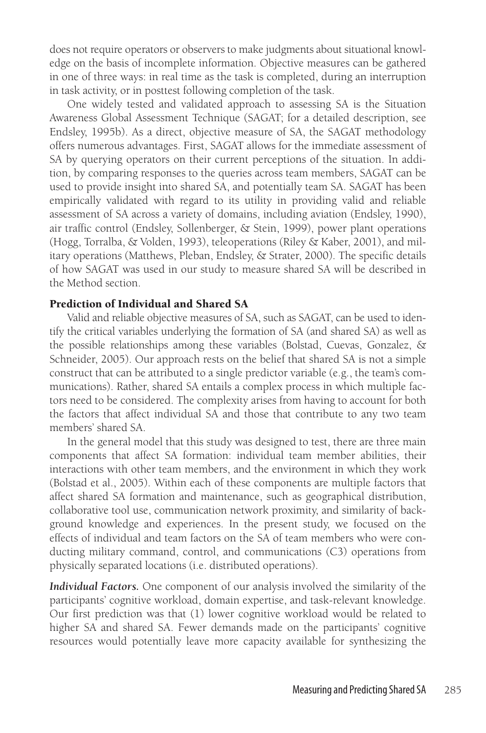does not require operators or observers to make judgments about situational knowledge on the basis of incomplete information. Objective measures can be gathered in one of three ways: in real time as the task is completed, during an interruption in task activity, or in posttest following completion of the task.

One widely tested and validated approach to assessing SA is the Situation Awareness Global Assessment Technique (SAGAT; for a detailed description, see Endsley, 1995b). As a direct, objective measure of SA, the SAGAT methodology offers numerous advantages. First, SAGAT allows for the immediate assessment of SA by querying operators on their current perceptions of the situation. In addition, by comparing responses to the queries across team members, SAGAT can be used to provide insight into shared SA, and potentially team SA. SAGAT has been empirically validated with regard to its utility in providing valid and reliable assessment of SA across a variety of domains, including aviation (Endsley, 1990), air traffic control (Endsley, Sollenberger, & Stein, 1999), power plant operations (Hogg, Torralba, & Volden, 1993), teleoperations (Riley & Kaber, 2001), and military operations (Matthews, Pleban, Endsley, & Strater, 2000). The specific details of how SAGAT was used in our study to measure shared SA will be described in the Method section.

#### Prediction of Individual and Shared SA

Valid and reliable objective measures of SA, such as SAGAT, can be used to identify the critical variables underlying the formation of SA (and shared SA) as well as the possible relationships among these variables (Bolstad, Cuevas, Gonzalez, & Schneider, 2005). Our approach rests on the belief that shared SA is not a simple construct that can be attributed to a single predictor variable (e.g., the team's communications). Rather, shared SA entails a complex process in which multiple factors need to be considered. The complexity arises from having to account for both the factors that affect individual SA and those that contribute to any two team members' shared SA.

In the general model that this study was designed to test, there are three main components that affect SA formation: individual team member abilities, their interactions with other team members, and the environment in which they work (Bolstad et al., 2005). Within each of these components are multiple factors that affect shared SA formation and maintenance, such as geographical distribution, collaborative tool use, communication network proximity, and similarity of background knowledge and experiences. In the present study, we focused on the effects of individual and team factors on the SA of team members who were conducting military command, control, and communications (C3) operations from physically separated locations (i.e. distributed operations).

*Individual Factors.* One component of our analysis involved the similarity of the participants' cognitive workload, domain expertise, and task-relevant knowledge. Our first prediction was that (1) lower cognitive workload would be related to higher SA and shared SA. Fewer demands made on the participants' cognitive resources would potentially leave more capacity available for synthesizing the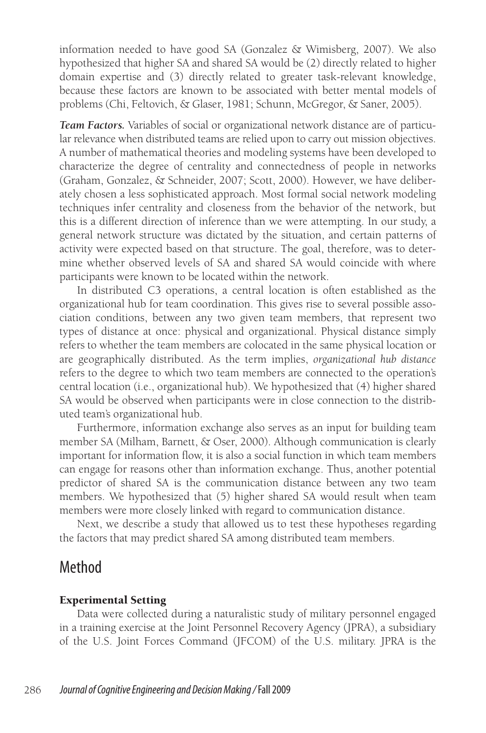information needed to have good SA (Gonzalez & Wimisberg, 2007). We also hypothesized that higher SA and shared SA would be (2) directly related to higher domain expertise and (3) directly related to greater task-relevant knowledge, because these factors are known to be associated with better mental models of problems (Chi, Feltovich, & Glaser, 1981; Schunn, McGregor, & Saner, 2005).

*Team Factors.* Variables of social or organizational network distance are of particular relevance when distributed teams are relied upon to carry out mission objectives. A number of mathematical theories and modeling systems have been developed to characterize the degree of centrality and connectedness of people in networks (Graham, Gonzalez, & Schneider, 2007; Scott, 2000). However, we have deliberately chosen a less sophisticated approach. Most formal social network modeling techniques infer centrality and closeness from the behavior of the network, but this is a different direction of inference than we were attempting. In our study, a general network structure was dictated by the situation, and certain patterns of activity were expected based on that structure. The goal, therefore, was to determine whether observed levels of SA and shared SA would coincide with where participants were known to be located within the network.

In distributed C3 operations, a central location is often established as the organizational hub for team coordination. This gives rise to several possible association conditions, between any two given team members, that represent two types of distance at once: physical and organizational. Physical distance simply refers to whether the team members are colocated in the same physical location or are geographically distributed. As the term implies, *organizational hub distance* refers to the degree to which two team members are connected to the operation's central location (i.e., organizational hub). We hypothesized that (4) higher shared SA would be observed when participants were in close connection to the distributed team's organizational hub.

Furthermore, information exchange also serves as an input for building team member SA (Milham, Barnett, & Oser, 2000). Although communication is clearly important for information flow, it is also a social function in which team members can engage for reasons other than information exchange. Thus, another potential predictor of shared SA is the communication distance between any two team members. We hypothesized that (5) higher shared SA would result when team members were more closely linked with regard to communication distance.

Next, we describe a study that allowed us to test these hypotheses regarding the factors that may predict shared SA among distributed team members.

# Method

#### Experimental Setting

Data were collected during a naturalistic study of military personnel engaged in a training exercise at the Joint Personnel Recovery Agency (JPRA), a subsidiary of the U.S. Joint Forces Command (JFCOM) of the U.S. military. JPRA is the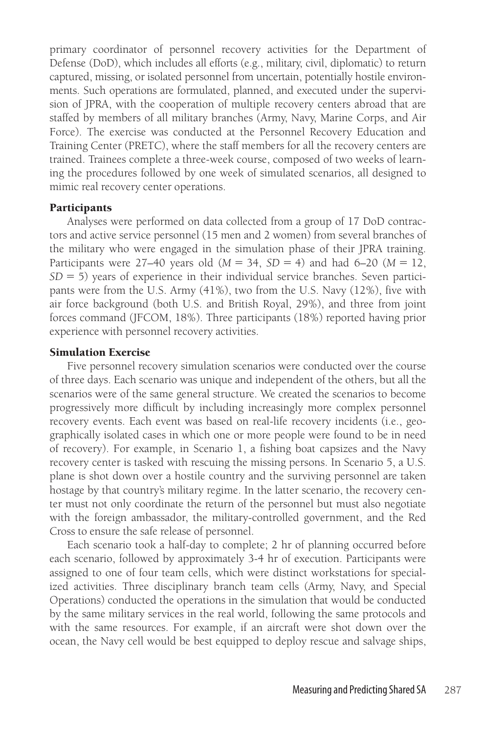primary coordinator of personnel recovery activities for the Department of Defense (DoD), which includes all efforts (e.g., military, civil, diplomatic) to return captured, missing, or isolated personnel from uncertain, potentially hostile environments. Such operations are formulated, planned, and executed under the supervision of JPRA, with the cooperation of multiple recovery centers abroad that are staffed by members of all military branches (Army, Navy, Marine Corps, and Air Force). The exercise was conducted at the Personnel Recovery Education and Training Center (PRETC), where the staff members for all the recovery centers are trained. Trainees complete a three-week course, composed of two weeks of learning the procedures followed by one week of simulated scenarios, all designed to mimic real recovery center operations.

#### Participants

Analyses were performed on data collected from a group of 17 DoD contractors and active service personnel (15 men and 2 women) from several branches of the military who were engaged in the simulation phase of their JPRA training. Participants were  $27-40$  years old ( $M = 34$ ,  $SD = 4$ ) and had  $6-20$  ( $M = 12$ , *SD* = 5) years of experience in their individual service branches. Seven participants were from the U.S. Army (41%), two from the U.S. Navy (12%), five with air force background (both U.S. and British Royal, 29%), and three from joint forces command (JFCOM, 18%). Three participants (18%) reported having prior experience with personnel recovery activities.

#### Simulation Exercise

Five personnel recovery simulation scenarios were conducted over the course of three days. Each scenario was unique and independent of the others, but all the scenarios were of the same general structure. We created the scenarios to become progressively more difficult by including increasingly more complex personnel recovery events. Each event was based on real-life recovery incidents (i.e., geographically isolated cases in which one or more people were found to be in need of recovery). For example, in Scenario 1, a fishing boat capsizes and the Navy recovery center is tasked with rescuing the missing persons. In Scenario 5, a U.S. plane is shot down over a hostile country and the surviving personnel are taken hostage by that country's military regime. In the latter scenario, the recovery center must not only coordinate the return of the personnel but must also negotiate with the foreign ambassador, the military-controlled government, and the Red Cross to ensure the safe release of personnel.

Each scenario took a half-day to complete; 2 hr of planning occurred before each scenario, followed by approximately 3-4 hr of execution. Participants were assigned to one of four team cells, which were distinct workstations for specialized activities. Three disciplinary branch team cells (Army, Navy, and Special Operations) conducted the operations in the simulation that would be conducted by the same military services in the real world, following the same protocols and with the same resources. For example, if an aircraft were shot down over the ocean, the Navy cell would be best equipped to deploy rescue and salvage ships,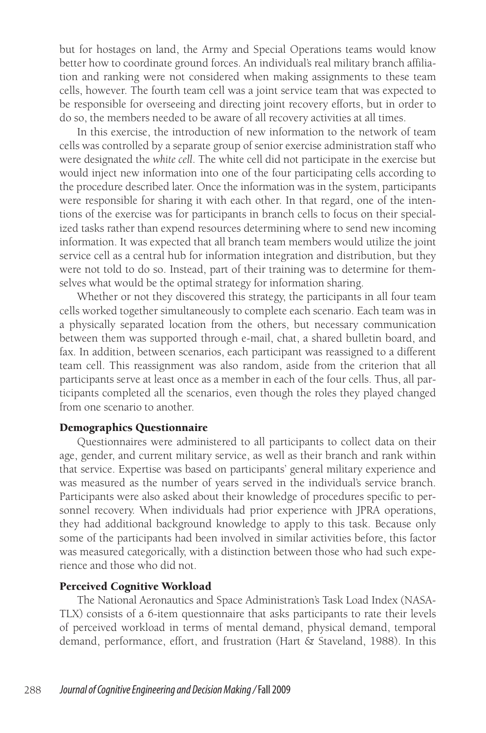but for hostages on land, the Army and Special Operations teams would know better how to coordinate ground forces. An individual's real military branch affiliation and ranking were not considered when making assignments to these team cells, however. The fourth team cell was a joint service team that was expected to be responsible for overseeing and directing joint recovery efforts, but in order to do so, the members needed to be aware of all recovery activities at all times.

In this exercise, the introduction of new information to the network of team cells was controlled by a separate group of senior exercise administration staff who were designated the *white cell*. The white cell did not participate in the exercise but would inject new information into one of the four participating cells according to the procedure described later. Once the information was in the system, participants were responsible for sharing it with each other. In that regard, one of the intentions of the exercise was for participants in branch cells to focus on their specialized tasks rather than expend resources determining where to send new incoming information. It was expected that all branch team members would utilize the joint service cell as a central hub for information integration and distribution, but they were not told to do so. Instead, part of their training was to determine for themselves what would be the optimal strategy for information sharing.

Whether or not they discovered this strategy, the participants in all four team cells worked together simultaneously to complete each scenario. Each team was in a physically separated location from the others, but necessary communication between them was supported through e-mail, chat, a shared bulletin board, and fax. In addition, between scenarios, each participant was reassigned to a different team cell. This reassignment was also random, aside from the criterion that all participants serve at least once as a member in each of the four cells. Thus, all participants completed all the scenarios, even though the roles they played changed from one scenario to another.

#### Demographics Questionnaire

Questionnaires were administered to all participants to collect data on their age, gender, and current military service, as well as their branch and rank within that service. Expertise was based on participants' general military experience and was measured as the number of years served in the individual's service branch. Participants were also asked about their knowledge of procedures specific to personnel recovery. When individuals had prior experience with JPRA operations, they had additional background knowledge to apply to this task. Because only some of the participants had been involved in similar activities before, this factor was measured categorically, with a distinction between those who had such experience and those who did not.

#### Perceived Cognitive Workload

The National Aeronautics and Space Administration's Task Load Index (NASA-TLX) consists of a 6-item questionnaire that asks participants to rate their levels of perceived workload in terms of mental demand, physical demand, temporal demand, performance, effort, and frustration (Hart & Staveland, 1988). In this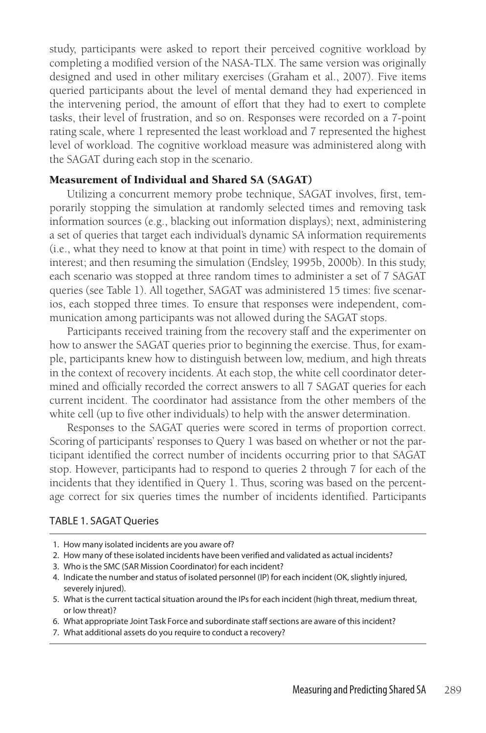study, participants were asked to report their perceived cognitive workload by completing a modified version of the NASA-TLX. The same version was originally designed and used in other military exercises (Graham et al., 2007). Five items queried participants about the level of mental demand they had experienced in the intervening period, the amount of effort that they had to exert to complete tasks, their level of frustration, and so on. Responses were recorded on a 7-point rating scale, where 1 represented the least workload and 7 represented the highest level of workload. The cognitive workload measure was administered along with the SAGAT during each stop in the scenario.

#### Measurement of Individual and Shared SA (SAGAT)

Utilizing a concurrent memory probe technique, SAGAT involves, first, temporarily stopping the simulation at randomly selected times and removing task information sources (e.g., blacking out information displays); next, administering a set of queries that target each individual's dynamic SA information requirements (i.e., what they need to know at that point in time) with respect to the domain of interest; and then resuming the simulation (Endsley, 1995b, 2000b). In this study, each scenario was stopped at three random times to administer a set of 7 SAGAT queries (see Table 1). All together, SAGAT was administered 15 times: five scenarios, each stopped three times. To ensure that responses were independent, communication among participants was not allowed during the SAGAT stops.

Participants received training from the recovery staff and the experimenter on how to answer the SAGAT queries prior to beginning the exercise. Thus, for example, participants knew how to distinguish between low, medium, and high threats in the context of recovery incidents. At each stop, the white cell coordinator determined and officially recorded the correct answers to all 7 SAGAT queries for each current incident. The coordinator had assistance from the other members of the white cell (up to five other individuals) to help with the answer determination.

Responses to the SAGAT queries were scored in terms of proportion correct. Scoring of participants' responses to Query 1 was based on whether or not the participant identified the correct number of incidents occurring prior to that SAGAT stop. However, participants had to respond to queries 2 through 7 for each of the incidents that they identified in Query 1. Thus, scoring was based on the percentage correct for six queries times the number of incidents identified. Participants

#### TABLE 1. SAGAT Queries

- 2. How many of these isolated incidents have been verified and validated as actual incidents?
- 3. Who is the SMC (SAR Mission Coordinator) for each incident?
- 4. Indicate the number and status of isolated personnel (IP) for each incident (OK, slightly injured, severely injured).
- 5. What is the current tactical situation around the IPs for each incident (high threat, medium threat, or low threat)?
- 6. What appropriate Joint Task Force and subordinate staff sections are aware of this incident?
- 7. What additional assets do you require to conduct a recovery?

<sup>1.</sup> How many isolated incidents are you aware of?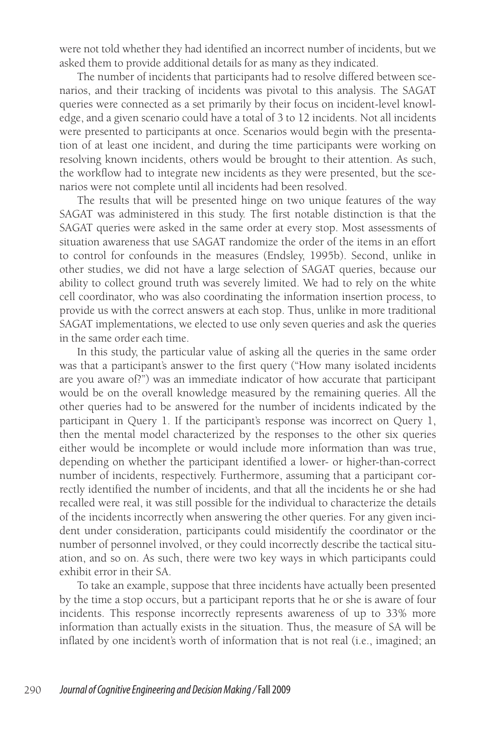were not told whether they had identified an incorrect number of incidents, but we asked them to provide additional details for as many as they indicated.

The number of incidents that participants had to resolve differed between scenarios, and their tracking of incidents was pivotal to this analysis. The SAGAT queries were connected as a set primarily by their focus on incident-level knowledge, and a given scenario could have a total of 3 to 12 incidents. Not all incidents were presented to participants at once. Scenarios would begin with the presentation of at least one incident, and during the time participants were working on resolving known incidents, others would be brought to their attention. As such, the workflow had to integrate new incidents as they were presented, but the scenarios were not complete until all incidents had been resolved.

The results that will be presented hinge on two unique features of the way SAGAT was administered in this study. The first notable distinction is that the SAGAT queries were asked in the same order at every stop. Most assessments of situation awareness that use SAGAT randomize the order of the items in an effort to control for confounds in the measures (Endsley, 1995b). Second, unlike in other studies, we did not have a large selection of SAGAT queries, because our ability to collect ground truth was severely limited. We had to rely on the white cell coordinator, who was also coordinating the information insertion process, to provide us with the correct answers at each stop. Thus, unlike in more traditional SAGAT implementations, we elected to use only seven queries and ask the queries in the same order each time.

In this study, the particular value of asking all the queries in the same order was that a participant's answer to the first query ("How many isolated incidents are you aware of?") was an immediate indicator of how accurate that participant would be on the overall knowledge measured by the remaining queries. All the other queries had to be answered for the number of incidents indicated by the participant in Query 1. If the participant's response was incorrect on Query 1, then the mental model characterized by the responses to the other six queries either would be incomplete or would include more information than was true, depending on whether the participant identified a lower- or higher-than-correct number of incidents, respectively. Furthermore, assuming that a participant correctly identified the number of incidents, and that all the incidents he or she had recalled were real, it was still possible for the individual to characterize the details of the incidents incorrectly when answering the other queries. For any given incident under consideration, participants could misidentify the coordinator or the number of personnel involved, or they could incorrectly describe the tactical situation, and so on. As such, there were two key ways in which participants could exhibit error in their SA.

To take an example, suppose that three incidents have actually been presented by the time a stop occurs, but a participant reports that he or she is aware of four incidents. This response incorrectly represents awareness of up to 33% more information than actually exists in the situation. Thus, the measure of SA will be inflated by one incident's worth of information that is not real (i.e., imagined; an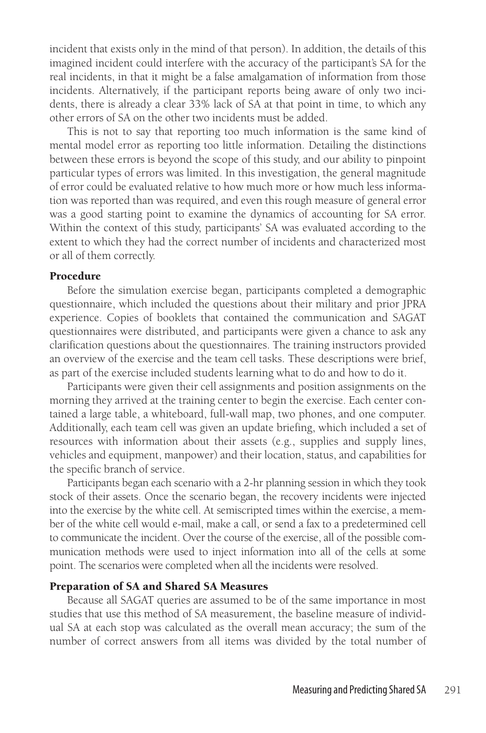incident that exists only in the mind of that person). In addition, the details of this imagined incident could interfere with the accuracy of the participant's SA for the real incidents, in that it might be a false amalgamation of information from those incidents. Alternatively, if the participant reports being aware of only two incidents, there is already a clear 33% lack of SA at that point in time, to which any other errors of SA on the other two incidents must be added.

This is not to say that reporting too much information is the same kind of mental model error as reporting too little information. Detailing the distinctions between these errors is beyond the scope of this study, and our ability to pinpoint particular types of errors was limited. In this investigation, the general magnitude of error could be evaluated relative to how much more or how much less information was reported than was required, and even this rough measure of general error was a good starting point to examine the dynamics of accounting for SA error. Within the context of this study, participants' SA was evaluated according to the extent to which they had the correct number of incidents and characterized most or all of them correctly.

#### Procedure

Before the simulation exercise began, participants completed a demographic questionnaire, which included the questions about their military and prior JPRA experience. Copies of booklets that contained the communication and SAGAT questionnaires were distributed, and participants were given a chance to ask any clarification questions about the questionnaires. The training instructors provided an overview of the exercise and the team cell tasks. These descriptions were brief, as part of the exercise included students learning what to do and how to do it.

Participants were given their cell assignments and position assignments on the morning they arrived at the training center to begin the exercise. Each center contained a large table, a whiteboard, full-wall map, two phones, and one computer. Additionally, each team cell was given an update briefing, which included a set of resources with information about their assets (e.g., supplies and supply lines, vehicles and equipment, manpower) and their location, status, and capabilities for the specific branch of service.

Participants began each scenario with a 2-hr planning session in which they took stock of their assets. Once the scenario began, the recovery incidents were injected into the exercise by the white cell. At semiscripted times within the exercise, a member of the white cell would e-mail, make a call, or send a fax to a predetermined cell to communicate the incident. Over the course of the exercise, all of the possible communication methods were used to inject information into all of the cells at some point. The scenarios were completed when all the incidents were resolved.

#### Preparation of SA and Shared SA Measures

Because all SAGAT queries are assumed to be of the same importance in most studies that use this method of SA measurement, the baseline measure of individual SA at each stop was calculated as the overall mean accuracy; the sum of the number of correct answers from all items was divided by the total number of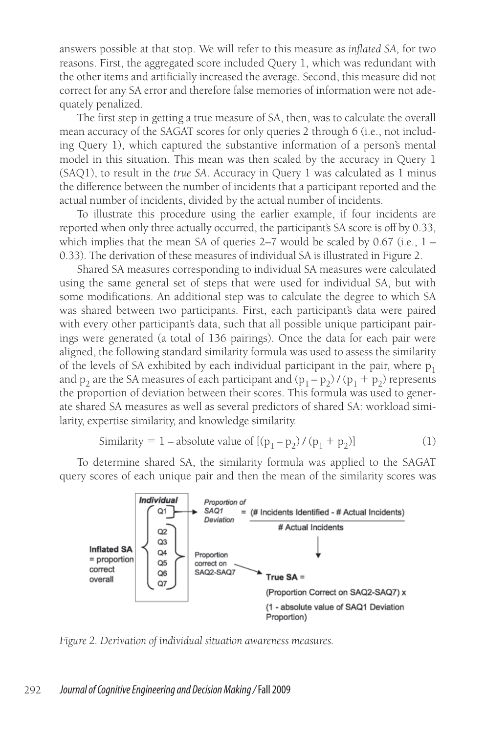answers possible at that stop. We will refer to this measure as *inflated SA,* for two reasons. First, the aggregated score included Query 1, which was redundant with the other items and artificially increased the average. Second, this measure did not correct for any SA error and therefore false memories of information were not adequately penalized.

The first step in getting a true measure of SA, then, was to calculate the overall mean accuracy of the SAGAT scores for only queries 2 through 6 (i.e., not including Query 1), which captured the substantive information of a person's mental model in this situation. This mean was then scaled by the accuracy in Query 1 (SAQ1), to result in the *true SA*. Accuracy in Query 1 was calculated as 1 minus the difference between the number of incidents that a participant reported and the actual number of incidents, divided by the actual number of incidents.

To illustrate this procedure using the earlier example, if four incidents are reported when only three actually occurred, the participant's SA score is off by 0.33, which implies that the mean SA of queries 2–7 would be scaled by  $0.67$  (i.e.,  $1 -$ 0.33). The derivation of these measures of individual SA is illustrated in Figure 2.

Shared SA measures corresponding to individual SA measures were calculated using the same general set of steps that were used for individual SA, but with some modifications. An additional step was to calculate the degree to which SA was shared between two participants. First, each participant's data were paired with every other participant's data, such that all possible unique participant pairings were generated (a total of 136 pairings). Once the data for each pair were aligned, the following standard similarity formula was used to assess the similarity of the levels of SA exhibited by each individual participant in the pair, where  $p_1$ and p<sub>2</sub> are the SA measures of each participant and  $(p_1 - p_2) / (p_1 + p_2)$  represents the proportion of deviation between their scores. This formula was used to generate shared SA measures as well as several predictors of shared SA: workload similarity, expertise similarity, and knowledge similarity.

Similarly = 1 – absolute value of 
$$
[(p_1 - p_2) / (p_1 + p_2)]
$$
 (1)

To determine shared SA, the similarity formula was applied to the SAGAT query scores of each unique pair and then the mean of the similarity scores was



*Figure 2. Derivation of individual situation awareness measures.*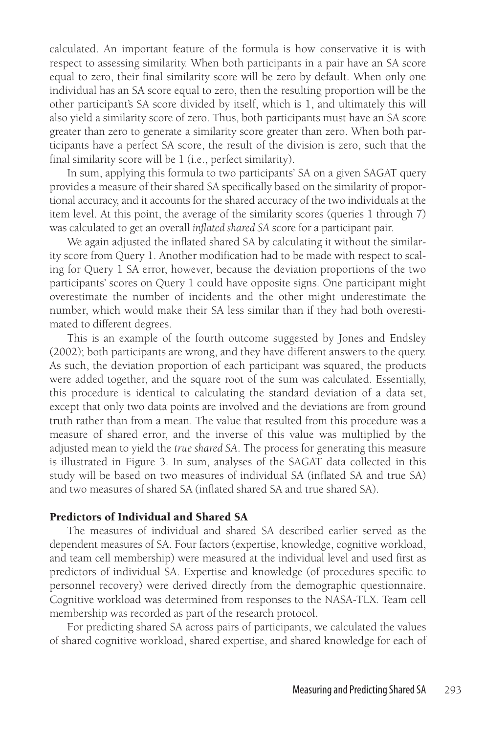calculated. An important feature of the formula is how conservative it is with respect to assessing similarity. When both participants in a pair have an SA score equal to zero, their final similarity score will be zero by default. When only one individual has an SA score equal to zero, then the resulting proportion will be the other participant's SA score divided by itself, which is 1, and ultimately this will also yield a similarity score of zero. Thus, both participants must have an SA score greater than zero to generate a similarity score greater than zero. When both participants have a perfect SA score, the result of the division is zero, such that the final similarity score will be 1 (i.e., perfect similarity).

In sum, applying this formula to two participants' SA on a given SAGAT query provides a measure of their shared SA specifically based on the similarity of proportional accuracy, and it accounts for the shared accuracy of the two individuals at the item level. At this point, the average of the similarity scores (queries 1 through 7) was calculated to get an overall *inflated shared SA* score for a participant pair.

We again adjusted the inflated shared SA by calculating it without the similarity score from Query 1. Another modification had to be made with respect to scaling for Query 1 SA error, however, because the deviation proportions of the two participants' scores on Query 1 could have opposite signs. One participant might overestimate the number of incidents and the other might underestimate the number, which would make their SA less similar than if they had both overestimated to different degrees.

This is an example of the fourth outcome suggested by Jones and Endsley (2002); both participants are wrong, and they have different answers to the query. As such, the deviation proportion of each participant was squared, the products were added together, and the square root of the sum was calculated. Essentially, this procedure is identical to calculating the standard deviation of a data set, except that only two data points are involved and the deviations are from ground truth rather than from a mean. The value that resulted from this procedure was a measure of shared error, and the inverse of this value was multiplied by the adjusted mean to yield the *true shared SA*. The process for generating this measure is illustrated in Figure 3. In sum, analyses of the SAGAT data collected in this study will be based on two measures of individual SA (inflated SA and true SA) and two measures of shared SA (inflated shared SA and true shared SA).

#### Predictors of Individual and Shared SA

The measures of individual and shared SA described earlier served as the dependent measures of SA. Four factors (expertise, knowledge, cognitive workload, and team cell membership) were measured at the individual level and used first as predictors of individual SA. Expertise and knowledge (of procedures specific to personnel recovery) were derived directly from the demographic questionnaire. Cognitive workload was determined from responses to the NASA-TLX. Team cell membership was recorded as part of the research protocol.

For predicting shared SA across pairs of participants, we calculated the values of shared cognitive workload, shared expertise, and shared knowledge for each of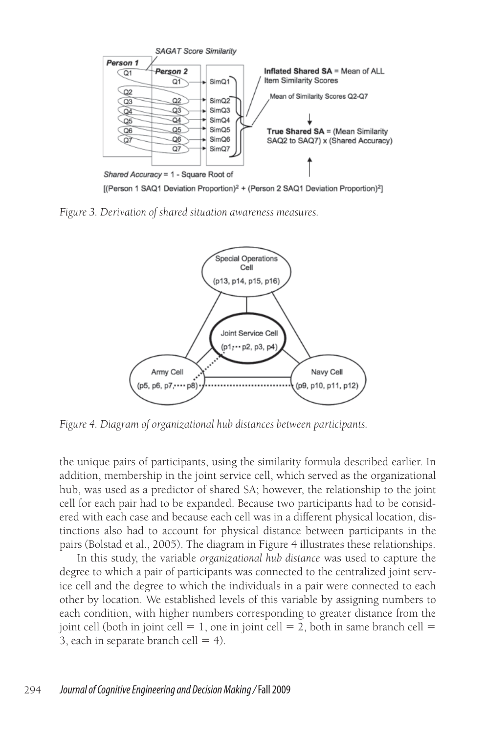

[(Person 1 SAQ1 Deviation Proportion)<sup>2</sup> + (Person 2 SAQ1 Deviation Proportion)<sup>2</sup>]

*Figure 3. Derivation of shared situation awareness measures.*



*Figure 4. Diagram of organizational hub distances between participants.*

the unique pairs of participants, using the similarity formula described earlier. In addition, membership in the joint service cell, which served as the organizational hub, was used as a predictor of shared SA; however, the relationship to the joint cell for each pair had to be expanded. Because two participants had to be considered with each case and because each cell was in a different physical location, distinctions also had to account for physical distance between participants in the pairs (Bolstad et al., 2005). The diagram in Figure 4 illustrates these relationships.

In this study, the variable *organizational hub distance* was used to capture the degree to which a pair of participants was connected to the centralized joint service cell and the degree to which the individuals in a pair were connected to each other by location. We established levels of this variable by assigning numbers to each condition, with higher numbers corresponding to greater distance from the joint cell (both in joint cell = 1, one in joint cell = 2, both in same branch cell = 3, each in separate branch cell  $= 4$ ).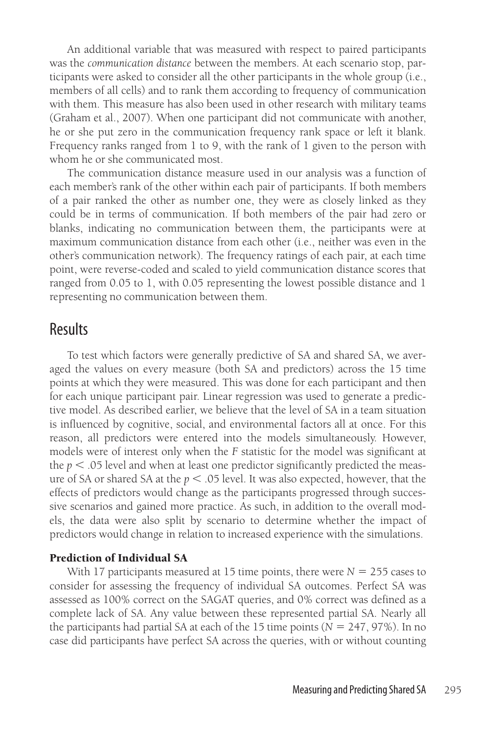An additional variable that was measured with respect to paired participants was the *communication distance* between the members. At each scenario stop, participants were asked to consider all the other participants in the whole group (i.e., members of all cells) and to rank them according to frequency of communication with them. This measure has also been used in other research with military teams (Graham et al., 2007). When one participant did not communicate with another, he or she put zero in the communication frequency rank space or left it blank. Frequency ranks ranged from 1 to 9, with the rank of 1 given to the person with whom he or she communicated most.

The communication distance measure used in our analysis was a function of each member's rank of the other within each pair of participants. If both members of a pair ranked the other as number one, they were as closely linked as they could be in terms of communication. If both members of the pair had zero or blanks, indicating no communication between them, the participants were at maximum communication distance from each other (i.e., neither was even in the other's communication network). The frequency ratings of each pair, at each time point, were reverse-coded and scaled to yield communication distance scores that ranged from 0.05 to 1, with 0.05 representing the lowest possible distance and 1 representing no communication between them.

## **Results**

To test which factors were generally predictive of SA and shared SA, we averaged the values on every measure (both SA and predictors) across the 15 time points at which they were measured. This was done for each participant and then for each unique participant pair. Linear regression was used to generate a predictive model. As described earlier, we believe that the level of SA in a team situation is influenced by cognitive, social, and environmental factors all at once. For this reason, all predictors were entered into the models simultaneously. However, models were of interest only when the *F* statistic for the model was significant at the  $p < .05$  level and when at least one predictor significantly predicted the measure of SA or shared SA at the  $p < .05$  level. It was also expected, however, that the effects of predictors would change as the participants progressed through successive scenarios and gained more practice. As such, in addition to the overall models, the data were also split by scenario to determine whether the impact of predictors would change in relation to increased experience with the simulations.

#### Prediction of Individual SA

With 17 participants measured at 15 time points, there were  $N = 255$  cases to consider for assessing the frequency of individual SA outcomes. Perfect SA was assessed as 100% correct on the SAGAT queries, and 0% correct was defined as a complete lack of SA. Any value between these represented partial SA. Nearly all the participants had partial SA at each of the  $15$  time points ( $N = 247,97\%$ ). In no case did participants have perfect SA across the queries, with or without counting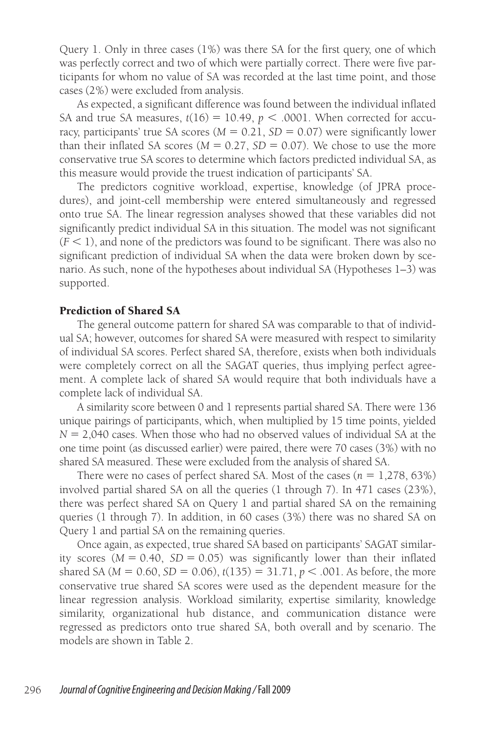Query 1. Only in three cases  $(1%)$  was there SA for the first query, one of which was perfectly correct and two of which were partially correct. There were five participants for whom no value of SA was recorded at the last time point, and those cases (2%) were excluded from analysis.

As expected, a significant difference was found between the individual inflated SA and true SA measures,  $t(16) = 10.49$ ,  $p < .0001$ . When corrected for accuracy, participants' true SA scores  $(M = 0.21, SD = 0.07)$  were significantly lower than their inflated SA scores ( $M = 0.27$ ,  $SD = 0.07$ ). We chose to use the more conservative true SA scores to determine which factors predicted individual SA, as this measure would provide the truest indication of participants' SA.

The predictors cognitive workload, expertise, knowledge (of JPRA procedures), and joint-cell membership were entered simultaneously and regressed onto true SA. The linear regression analyses showed that these variables did not significantly predict individual SA in this situation. The model was not significant  $(F < 1)$ , and none of the predictors was found to be significant. There was also no significant prediction of individual SA when the data were broken down by scenario. As such, none of the hypotheses about individual SA (Hypotheses 1–3) was supported.

#### Prediction of Shared SA

The general outcome pattern for shared SA was comparable to that of individual SA; however, outcomes for shared SA were measured with respect to similarity of individual SA scores. Perfect shared SA, therefore, exists when both individuals were completely correct on all the SAGAT queries, thus implying perfect agreement. A complete lack of shared SA would require that both individuals have a complete lack of individual SA.

A similarity score between 0 and 1 represents partial shared SA. There were 136 unique pairings of participants, which, when multiplied by 15 time points, yielded *N* = 2,040 cases. When those who had no observed values of individual SA at the one time point (as discussed earlier) were paired, there were 70 cases (3%) with no shared SA measured. These were excluded from the analysis of shared SA.

There were no cases of perfect shared SA. Most of the cases  $(n = 1,278, 63\%)$ involved partial shared SA on all the queries (1 through 7). In 471 cases (23%), there was perfect shared SA on Query 1 and partial shared SA on the remaining queries (1 through 7). In addition, in 60 cases (3%) there was no shared SA on Query 1 and partial SA on the remaining queries.

Once again, as expected, true shared SA based on participants' SAGAT similarity scores  $(M = 0.40, SD = 0.05)$  was significantly lower than their inflated shared SA ( $M = 0.60$ ,  $SD = 0.06$ ),  $t(135) = 31.71$ ,  $p < .001$ . As before, the more conservative true shared SA scores were used as the dependent measure for the linear regression analysis. Workload similarity, expertise similarity, knowledge similarity, organizational hub distance, and communication distance were regressed as predictors onto true shared SA, both overall and by scenario. The models are shown in Table 2.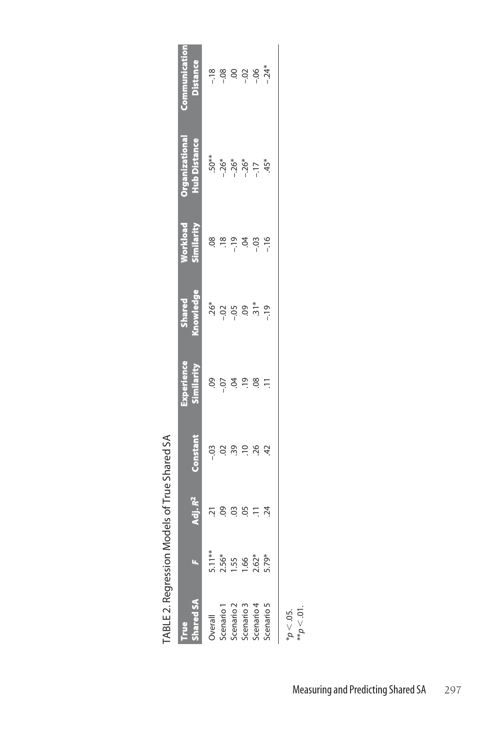|                                                                 |                                            | <b>TABLE 2. Regression Models of True Shared SA</b> |         |                  |                                                           |                                                                                                                                                                         |               |                                                                                                                                                               |
|-----------------------------------------------------------------|--------------------------------------------|-----------------------------------------------------|---------|------------------|-----------------------------------------------------------|-------------------------------------------------------------------------------------------------------------------------------------------------------------------------|---------------|---------------------------------------------------------------------------------------------------------------------------------------------------------------|
| hared SA<br>$\frac{9}{2}$                                       |                                            |                                                     | constar | <b>Esperient</b> | Cnowledge<br><b>Shared</b>                                | <b>Norkload</b><br>Similarit                                                                                                                                            | Organizationa | Distance                                                                                                                                                      |
|                                                                 |                                            | <u>ان</u>                                           |         |                  |                                                           |                                                                                                                                                                         |               |                                                                                                                                                               |
| Overall<br>Scenario 1<br>Scenario 2<br>Scenario 3<br>Scenario 4 | 5.11**<br>2.56*<br>2.56*<br>5.79*<br>5.79* | <b>eo</b>                                           |         | 6.579            | $76$<br>$-105$<br>$-105$<br>$-10$<br>$-1$<br>$-1$<br>$-1$ | $\frac{1}{2}$ $\frac{1}{2}$ $\frac{1}{2}$ $\frac{1}{2}$ $\frac{1}{2}$ $\frac{1}{2}$ $\frac{1}{2}$ $\frac{1}{2}$ $\frac{1}{2}$ $\frac{1}{2}$ $\frac{1}{2}$ $\frac{1}{2}$ |               | $\frac{8}{1}$ , $\frac{8}{1}$ , $\frac{8}{1}$ , $\frac{8}{1}$ , $\frac{8}{1}$ , $\frac{8}{1}$ , $\frac{8}{1}$ , $\frac{8}{1}$ , $\frac{8}{1}$ , $\frac{8}{1}$ |
|                                                                 |                                            | $\overline{0}$                                      |         |                  |                                                           |                                                                                                                                                                         |               |                                                                                                                                                               |
|                                                                 |                                            | <b>95</b>                                           |         |                  |                                                           |                                                                                                                                                                         |               |                                                                                                                                                               |
|                                                                 |                                            |                                                     |         | $\overline{5}$   |                                                           |                                                                                                                                                                         |               |                                                                                                                                                               |
| icenario 5                                                      |                                            |                                                     |         |                  |                                                           |                                                                                                                                                                         |               |                                                                                                                                                               |
| 20. > a                                                         |                                            |                                                     |         |                  |                                                           |                                                                                                                                                                         |               |                                                                                                                                                               |
|                                                                 |                                            |                                                     |         |                  |                                                           |                                                                                                                                                                         |               |                                                                                                                                                               |

| j<br>てくらく<br>レロララ<br>ï<br>Mode of Iris<br>$\frac{2}{5}$<br>5 |
|--------------------------------------------------------------|
|                                                              |
| <b>.</b><br>כלכול כל כלכול כל<br>١<br>Í                      |
|                                                              |
| TARIE <sub>7</sub>                                           |
|                                                              |

 ${}^*\!p < .05.$ <br> ${}^*\!p < .01.$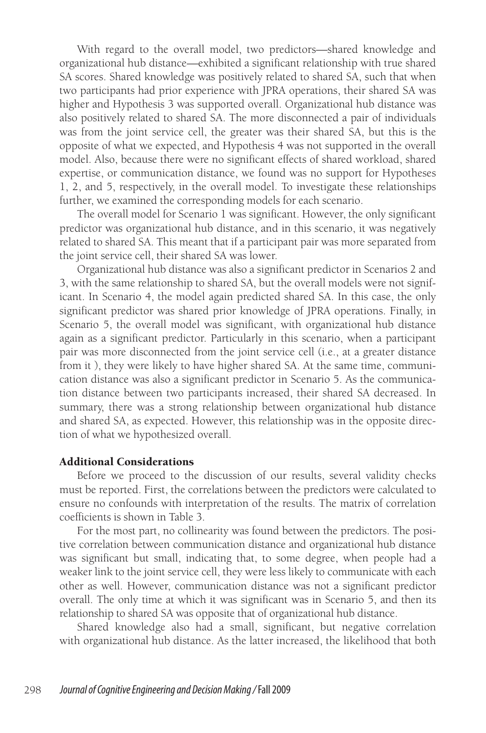With regard to the overall model, two predictors—shared knowledge and organizational hub distance—exhibited a significant relationship with true shared SA scores. Shared knowledge was positively related to shared SA, such that when two participants had prior experience with JPRA operations, their shared SA was higher and Hypothesis 3 was supported overall. Organizational hub distance was also positively related to shared SA. The more disconnected a pair of individuals was from the joint service cell, the greater was their shared SA, but this is the opposite of what we expected, and Hypothesis 4 was not supported in the overall model. Also, because there were no significant effects of shared workload, shared expertise, or communication distance, we found was no support for Hypotheses 1, 2, and 5, respectively, in the overall model. To investigate these relationships further, we examined the corresponding models for each scenario.

The overall model for Scenario 1 was significant. However, the only significant predictor was organizational hub distance, and in this scenario, it was negatively related to shared SA. This meant that if a participant pair was more separated from the joint service cell, their shared SA was lower.

Organizational hub distance was also a significant predictor in Scenarios 2 and 3, with the same relationship to shared SA, but the overall models were not significant. In Scenario 4, the model again predicted shared SA. In this case, the only significant predictor was shared prior knowledge of JPRA operations. Finally, in Scenario 5, the overall model was significant, with organizational hub distance again as a significant predictor. Particularly in this scenario, when a participant pair was more disconnected from the joint service cell (i.e., at a greater distance from it ), they were likely to have higher shared SA. At the same time, communication distance was also a significant predictor in Scenario 5. As the communication distance between two participants increased, their shared SA decreased. In summary, there was a strong relationship between organizational hub distance and shared SA, as expected. However, this relationship was in the opposite direction of what we hypothesized overall.

#### Additional Considerations

Before we proceed to the discussion of our results, several validity checks must be reported. First, the correlations between the predictors were calculated to ensure no confounds with interpretation of the results. The matrix of correlation coefficients is shown in Table 3.

For the most part, no collinearity was found between the predictors. The positive correlation between communication distance and organizational hub distance was significant but small, indicating that, to some degree, when people had a weaker link to the joint service cell, they were less likely to communicate with each other as well. However, communication distance was not a significant predictor overall. The only time at which it was significant was in Scenario 5, and then its relationship to shared SA was opposite that of organizational hub distance.

Shared knowledge also had a small, significant, but negative correlation with organizational hub distance. As the latter increased, the likelihood that both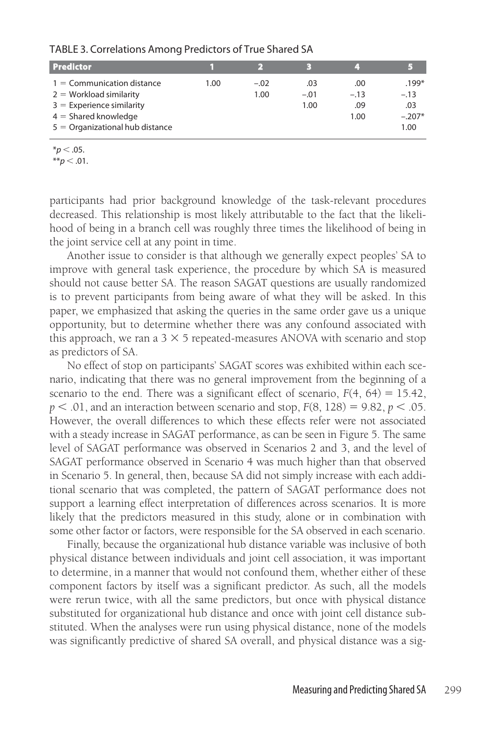| <b>Predictor</b>                  |      |        |        |        |          |
|-----------------------------------|------|--------|--------|--------|----------|
| $1 =$ Communication distance      | 1.00 | $-.02$ | .03    | .00    | $.199*$  |
| $2 =$ Workload similarity         |      | 1.00   | $-.01$ | $-.13$ | $-.13$   |
| $3 =$ Experience similarity       |      |        | 1.00   | .09    | .03      |
| $4 =$ Shared knowledge            |      |        |        | 1.00   | $-.207*$ |
| $5 =$ Organizational hub distance |      |        |        |        | 1.00     |

#### TABLE 3. Correlations Among Predictors of True Shared SA

participants had prior background knowledge of the task-relevant procedures decreased. This relationship is most likely attributable to the fact that the likelihood of being in a branch cell was roughly three times the likelihood of being in the joint service cell at any point in time.

Another issue to consider is that although we generally expect peoples' SA to improve with general task experience, the procedure by which SA is measured should not cause better SA. The reason SAGAT questions are usually randomized is to prevent participants from being aware of what they will be asked. In this paper, we emphasized that asking the queries in the same order gave us a unique opportunity, but to determine whether there was any confound associated with this approach, we ran a  $3 \times 5$  repeated-measures ANOVA with scenario and stop as predictors of SA.

No effect of stop on participants' SAGAT scores was exhibited within each scenario, indicating that there was no general improvement from the beginning of a scenario to the end. There was a significant effect of scenario,  $F(4, 64) = 15.42$ ,  $p < .01$ , and an interaction between scenario and stop,  $F(8, 128) = 9.82$ ,  $p < .05$ . However, the overall differences to which these effects refer were not associated with a steady increase in SAGAT performance, as can be seen in Figure 5. The same level of SAGAT performance was observed in Scenarios 2 and 3, and the level of SAGAT performance observed in Scenario 4 was much higher than that observed in Scenario 5. In general, then, because SA did not simply increase with each additional scenario that was completed, the pattern of SAGAT performance does not support a learning effect interpretation of differences across scenarios. It is more likely that the predictors measured in this study, alone or in combination with some other factor or factors, were responsible for the SA observed in each scenario.

Finally, because the organizational hub distance variable was inclusive of both physical distance between individuals and joint cell association, it was important to determine, in a manner that would not confound them, whether either of these component factors by itself was a significant predictor. As such, all the models were rerun twice, with all the same predictors, but once with physical distance substituted for organizational hub distance and once with joint cell distance substituted. When the analyses were run using physical distance, none of the models was significantly predictive of shared SA overall, and physical distance was a sig-

 $*_{p}$  < .05.

 $*$ <sub>p</sub>  $< .01$ .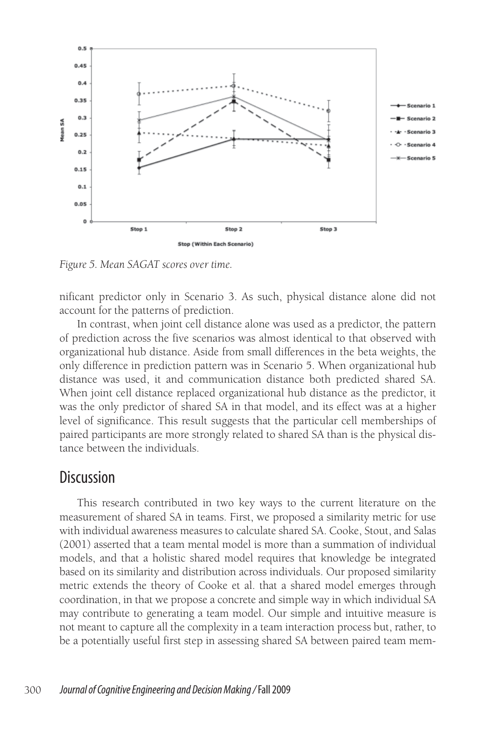

*Figure 5. Mean SAGAT scores over time.*

nificant predictor only in Scenario 3. As such, physical distance alone did not account for the patterns of prediction.

In contrast, when joint cell distance alone was used as a predictor, the pattern of prediction across the five scenarios was almost identical to that observed with organizational hub distance. Aside from small differences in the beta weights, the only difference in prediction pattern was in Scenario 5. When organizational hub distance was used, it and communication distance both predicted shared SA. When joint cell distance replaced organizational hub distance as the predictor, it was the only predictor of shared SA in that model, and its effect was at a higher level of significance. This result suggests that the particular cell memberships of paired participants are more strongly related to shared SA than is the physical distance between the individuals.

### **Discussion**

This research contributed in two key ways to the current literature on the measurement of shared SA in teams. First, we proposed a similarity metric for use with individual awareness measures to calculate shared SA. Cooke, Stout, and Salas (2001) asserted that a team mental model is more than a summation of individual models, and that a holistic shared model requires that knowledge be integrated based on its similarity and distribution across individuals. Our proposed similarity metric extends the theory of Cooke et al. that a shared model emerges through coordination, in that we propose a concrete and simple way in which individual SA may contribute to generating a team model. Our simple and intuitive measure is not meant to capture all the complexity in a team interaction process but, rather, to be a potentially useful first step in assessing shared SA between paired team mem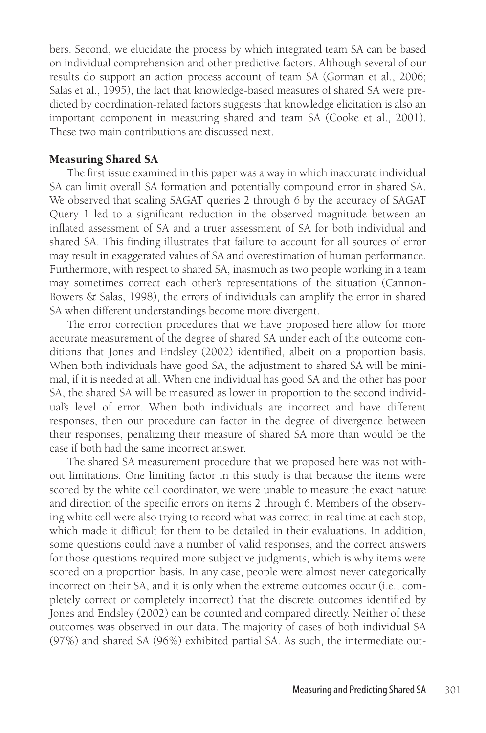bers. Second, we elucidate the process by which integrated team SA can be based on individual comprehension and other predictive factors. Although several of our results do support an action process account of team SA (Gorman et al., 2006; Salas et al., 1995), the fact that knowledge-based measures of shared SA were predicted by coordination-related factors suggests that knowledge elicitation is also an important component in measuring shared and team SA (Cooke et al., 2001). These two main contributions are discussed next.

#### Measuring Shared SA

The first issue examined in this paper was a way in which inaccurate individual SA can limit overall SA formation and potentially compound error in shared SA. We observed that scaling SAGAT queries 2 through 6 by the accuracy of SAGAT Query 1 led to a significant reduction in the observed magnitude between an inflated assessment of SA and a truer assessment of SA for both individual and shared SA. This finding illustrates that failure to account for all sources of error may result in exaggerated values of SA and overestimation of human performance. Furthermore, with respect to shared SA, inasmuch as two people working in a team may sometimes correct each other's representations of the situation (Cannon-Bowers & Salas, 1998), the errors of individuals can amplify the error in shared SA when different understandings become more divergent.

The error correction procedures that we have proposed here allow for more accurate measurement of the degree of shared SA under each of the outcome conditions that Jones and Endsley (2002) identified, albeit on a proportion basis. When both individuals have good SA, the adjustment to shared SA will be minimal, if it is needed at all. When one individual has good SA and the other has poor SA, the shared SA will be measured as lower in proportion to the second individual's level of error. When both individuals are incorrect and have different responses, then our procedure can factor in the degree of divergence between their responses, penalizing their measure of shared SA more than would be the case if both had the same incorrect answer.

The shared SA measurement procedure that we proposed here was not without limitations. One limiting factor in this study is that because the items were scored by the white cell coordinator, we were unable to measure the exact nature and direction of the specific errors on items 2 through 6. Members of the observing white cell were also trying to record what was correct in real time at each stop, which made it difficult for them to be detailed in their evaluations. In addition, some questions could have a number of valid responses, and the correct answers for those questions required more subjective judgments, which is why items were scored on a proportion basis. In any case, people were almost never categorically incorrect on their SA, and it is only when the extreme outcomes occur (i.e., completely correct or completely incorrect) that the discrete outcomes identified by Jones and Endsley (2002) can be counted and compared directly. Neither of these outcomes was observed in our data. The majority of cases of both individual SA (97%) and shared SA (96%) exhibited partial SA. As such, the intermediate out-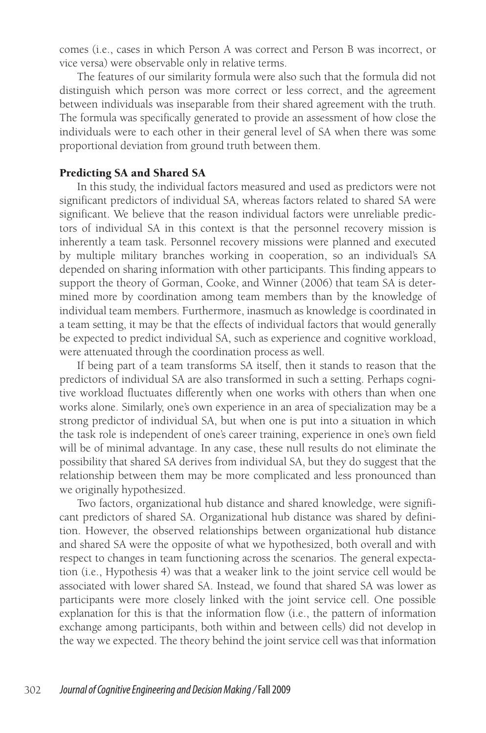comes (i.e., cases in which Person A was correct and Person B was incorrect, or vice versa) were observable only in relative terms.

The features of our similarity formula were also such that the formula did not distinguish which person was more correct or less correct, and the agreement between individuals was inseparable from their shared agreement with the truth. The formula was specifically generated to provide an assessment of how close the individuals were to each other in their general level of SA when there was some proportional deviation from ground truth between them.

#### Predicting SA and Shared SA

In this study, the individual factors measured and used as predictors were not significant predictors of individual SA, whereas factors related to shared SA were significant. We believe that the reason individual factors were unreliable predictors of individual SA in this context is that the personnel recovery mission is inherently a team task. Personnel recovery missions were planned and executed by multiple military branches working in cooperation, so an individual's SA depended on sharing information with other participants. This finding appears to support the theory of Gorman, Cooke, and Winner (2006) that team SA is determined more by coordination among team members than by the knowledge of individual team members. Furthermore, inasmuch as knowledge is coordinated in a team setting, it may be that the effects of individual factors that would generally be expected to predict individual SA, such as experience and cognitive workload, were attenuated through the coordination process as well.

If being part of a team transforms SA itself, then it stands to reason that the predictors of individual SA are also transformed in such a setting. Perhaps cognitive workload fluctuates differently when one works with others than when one works alone. Similarly, one's own experience in an area of specialization may be a strong predictor of individual SA, but when one is put into a situation in which the task role is independent of one's career training, experience in one's own field will be of minimal advantage. In any case, these null results do not eliminate the possibility that shared SA derives from individual SA, but they do suggest that the relationship between them may be more complicated and less pronounced than we originally hypothesized.

Two factors, organizational hub distance and shared knowledge, were significant predictors of shared SA. Organizational hub distance was shared by definition. However, the observed relationships between organizational hub distance and shared SA were the opposite of what we hypothesized, both overall and with respect to changes in team functioning across the scenarios. The general expectation (i.e., Hypothesis 4) was that a weaker link to the joint service cell would be associated with lower shared SA. Instead, we found that shared SA was lower as participants were more closely linked with the joint service cell. One possible explanation for this is that the information flow (i.e., the pattern of information exchange among participants, both within and between cells) did not develop in the way we expected. The theory behind the joint service cell was that information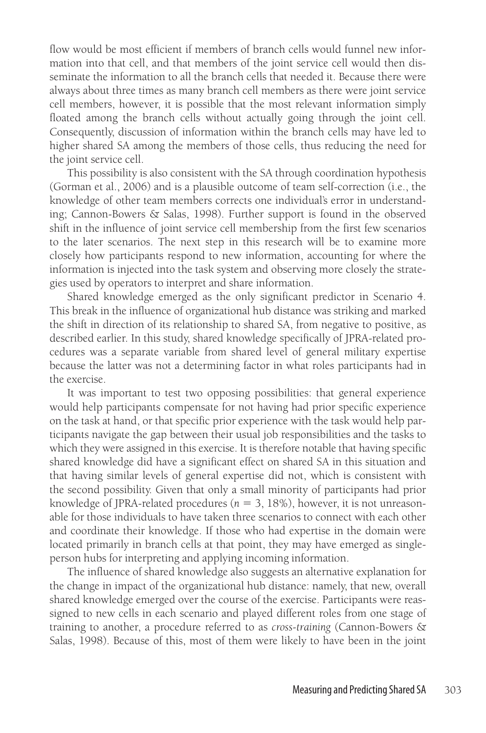flow would be most efficient if members of branch cells would funnel new information into that cell, and that members of the joint service cell would then disseminate the information to all the branch cells that needed it. Because there were always about three times as many branch cell members as there were joint service cell members, however, it is possible that the most relevant information simply floated among the branch cells without actually going through the joint cell. Consequently, discussion of information within the branch cells may have led to higher shared SA among the members of those cells, thus reducing the need for the joint service cell.

This possibility is also consistent with the SA through coordination hypothesis (Gorman et al., 2006) and is a plausible outcome of team self-correction (i.e., the knowledge of other team members corrects one individual's error in understanding; Cannon-Bowers & Salas, 1998). Further support is found in the observed shift in the influence of joint service cell membership from the first few scenarios to the later scenarios. The next step in this research will be to examine more closely how participants respond to new information, accounting for where the information is injected into the task system and observing more closely the strategies used by operators to interpret and share information.

Shared knowledge emerged as the only significant predictor in Scenario 4. This break in the influence of organizational hub distance was striking and marked the shift in direction of its relationship to shared SA, from negative to positive, as described earlier. In this study, shared knowledge specifically of JPRA-related procedures was a separate variable from shared level of general military expertise because the latter was not a determining factor in what roles participants had in the exercise.

It was important to test two opposing possibilities: that general experience would help participants compensate for not having had prior specific experience on the task at hand, or that specific prior experience with the task would help participants navigate the gap between their usual job responsibilities and the tasks to which they were assigned in this exercise. It is therefore notable that having specific shared knowledge did have a significant effect on shared SA in this situation and that having similar levels of general expertise did not, which is consistent with the second possibility. Given that only a small minority of participants had prior knowledge of JPRA-related procedures ( $n = 3, 18\%)$ , however, it is not unreasonable for those individuals to have taken three scenarios to connect with each other and coordinate their knowledge. If those who had expertise in the domain were located primarily in branch cells at that point, they may have emerged as singleperson hubs for interpreting and applying incoming information.

The influence of shared knowledge also suggests an alternative explanation for the change in impact of the organizational hub distance: namely, that new, overall shared knowledge emerged over the course of the exercise. Participants were reassigned to new cells in each scenario and played different roles from one stage of training to another, a procedure referred to as *cross-training* (Cannon-Bowers & Salas, 1998). Because of this, most of them were likely to have been in the joint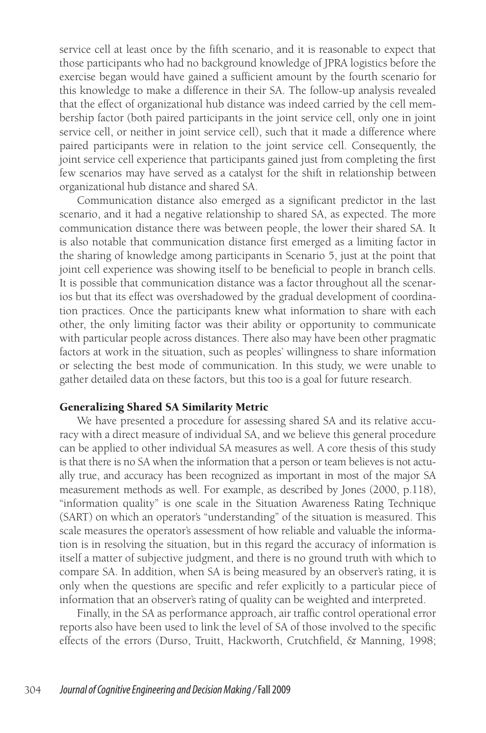service cell at least once by the fifth scenario, and it is reasonable to expect that those participants who had no background knowledge of JPRA logistics before the exercise began would have gained a sufficient amount by the fourth scenario for this knowledge to make a difference in their SA. The follow-up analysis revealed that the effect of organizational hub distance was indeed carried by the cell membership factor (both paired participants in the joint service cell, only one in joint service cell, or neither in joint service cell), such that it made a difference where paired participants were in relation to the joint service cell. Consequently, the joint service cell experience that participants gained just from completing the first few scenarios may have served as a catalyst for the shift in relationship between organizational hub distance and shared SA.

Communication distance also emerged as a significant predictor in the last scenario, and it had a negative relationship to shared SA, as expected. The more communication distance there was between people, the lower their shared SA. It is also notable that communication distance first emerged as a limiting factor in the sharing of knowledge among participants in Scenario 5, just at the point that joint cell experience was showing itself to be beneficial to people in branch cells. It is possible that communication distance was a factor throughout all the scenarios but that its effect was overshadowed by the gradual development of coordination practices. Once the participants knew what information to share with each other, the only limiting factor was their ability or opportunity to communicate with particular people across distances. There also may have been other pragmatic factors at work in the situation, such as peoples' willingness to share information or selecting the best mode of communication. In this study, we were unable to gather detailed data on these factors, but this too is a goal for future research.

#### Generalizing Shared SA Similarity Metric

We have presented a procedure for assessing shared SA and its relative accuracy with a direct measure of individual SA, and we believe this general procedure can be applied to other individual SA measures as well. A core thesis of this study is that there is no SA when the information that a person or team believes is not actually true, and accuracy has been recognized as important in most of the major SA measurement methods as well. For example, as described by Jones (2000, p.118), "information quality" is one scale in the Situation Awareness Rating Technique (SART) on which an operator's "understanding" of the situation is measured. This scale measures the operator's assessment of how reliable and valuable the information is in resolving the situation, but in this regard the accuracy of information is itself a matter of subjective judgment, and there is no ground truth with which to compare SA. In addition, when SA is being measured by an observer's rating, it is only when the questions are specific and refer explicitly to a particular piece of information that an observer's rating of quality can be weighted and interpreted.

Finally, in the SA as performance approach, air traffic control operational error reports also have been used to link the level of SA of those involved to the specific effects of the errors (Durso, Truitt, Hackworth, Crutchfield, & Manning, 1998;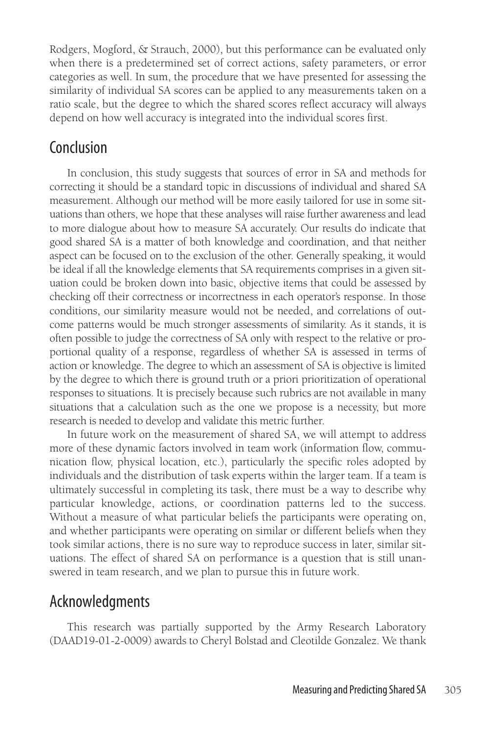Rodgers, Mogford, & Strauch, 2000), but this performance can be evaluated only when there is a predetermined set of correct actions, safety parameters, or error categories as well. In sum, the procedure that we have presented for assessing the similarity of individual SA scores can be applied to any measurements taken on a ratio scale, but the degree to which the shared scores reflect accuracy will always depend on how well accuracy is integrated into the individual scores first.

# Conclusion

In conclusion, this study suggests that sources of error in SA and methods for correcting it should be a standard topic in discussions of individual and shared SA measurement. Although our method will be more easily tailored for use in some situations than others, we hope that these analyses will raise further awareness and lead to more dialogue about how to measure SA accurately. Our results do indicate that good shared SA is a matter of both knowledge and coordination, and that neither aspect can be focused on to the exclusion of the other. Generally speaking, it would be ideal if all the knowledge elements that SA requirements comprises in a given situation could be broken down into basic, objective items that could be assessed by checking off their correctness or incorrectness in each operator's response. In those conditions, our similarity measure would not be needed, and correlations of outcome patterns would be much stronger assessments of similarity. As it stands, it is often possible to judge the correctness of SA only with respect to the relative or proportional quality of a response, regardless of whether SA is assessed in terms of action or knowledge. The degree to which an assessment of SA is objective is limited by the degree to which there is ground truth or a priori prioritization of operational responses to situations. It is precisely because such rubrics are not available in many situations that a calculation such as the one we propose is a necessity, but more research is needed to develop and validate this metric further.

In future work on the measurement of shared SA, we will attempt to address more of these dynamic factors involved in team work (information flow, communication flow, physical location, etc.), particularly the specific roles adopted by individuals and the distribution of task experts within the larger team. If a team is ultimately successful in completing its task, there must be a way to describe why particular knowledge, actions, or coordination patterns led to the success. Without a measure of what particular beliefs the participants were operating on, and whether participants were operating on similar or different beliefs when they took similar actions, there is no sure way to reproduce success in later, similar situations. The effect of shared SA on performance is a question that is still unanswered in team research, and we plan to pursue this in future work.

# Acknowledgments

This research was partially supported by the Army Research Laboratory (DAAD19-01-2-0009) awards to Cheryl Bolstad and Cleotilde Gonzalez. We thank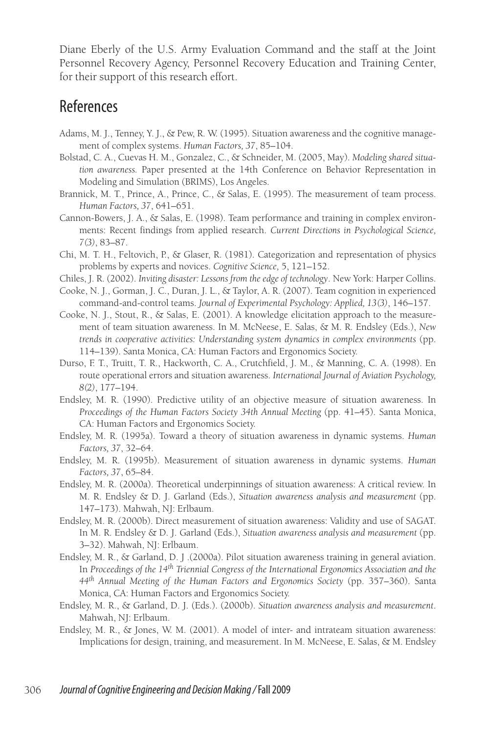Diane Eberly of the U.S. Army Evaluation Command and the staff at the Joint Personnel Recovery Agency, Personnel Recovery Education and Training Center, for their support of this research effort.

# References

- Adams, M. J., Tenney, Y. J., & Pew, R. W. (1995). Situation awareness and the cognitive management of complex systems. *Human Factors, 37*, 85–104.
- Bolstad, C. A., Cuevas H. M., Gonzalez, C., & Schneider, M. (2005, May). *Modeling shared situation awareness.* Paper presented at the 14th Conference on Behavior Representation in Modeling and Simulation (BRIMS), Los Angeles.
- Brannick, M. T., Prince, A., Prince, C., & Salas, E. (1995). The measurement of team process. *Human Factors, 37*, 641–651.
- Cannon-Bowers, J. A., & Salas, E. (1998). Team performance and training in complex environments: Recent findings from applied research. *Current Directions in Psychological Science, 7(3)*, 83–87.
- Chi, M. T. H., Feltovich, P., & Glaser, R. (1981). Categorization and representation of physics problems by experts and novices. *Cognitive Science,* 5, 121–152.
- Chiles, J. R. (2002). *Inviting disaster: Lessons from the edge of technology*. New York: Harper Collins.
- Cooke, N. J., Gorman, J. C., Duran, J. L., & Taylor, A. R. (2007). Team cognition in experienced command-and-control teams. *Journal of Experimental Psychology: Applied, 13(3)*, 146–157.
- Cooke, N. J., Stout, R., & Salas, E. (2001). A knowledge elicitation approach to the measurement of team situation awareness. In M. McNeese, E. Salas, & M. R. Endsley (Eds.), *New trends in cooperative activities: Understanding system dynamics in complex environments* (pp. 114–139). Santa Monica, CA: Human Factors and Ergonomics Society.
- Durso, F. T., Truitt, T. R., Hackworth, C. A., Crutchfield, J. M., & Manning, C. A. (1998). En route operational errors and situation awareness. *International Journal of Aviation Psychology, 8(2)*, 177–194.
- Endsley, M. R. (1990). Predictive utility of an objective measure of situation awareness. In *Proceedings of the Human Factors Society 34th Annual Meeting (pp. 41–45). Santa Monica,* CA: Human Factors and Ergonomics Society.
- Endsley, M. R. (1995a). Toward a theory of situation awareness in dynamic systems. *Human Factors, 37*, 32–64.
- Endsley, M. R. (1995b). Measurement of situation awareness in dynamic systems. *Human Factors, 37*, 65–84.
- Endsley, M. R. (2000a). Theoretical underpinnings of situation awareness: A critical review. In M. R. Endsley & D. J. Garland (Eds.), *Situation awareness analysis and measurement* (pp. 147–173). Mahwah, NJ: Erlbaum.
- Endsley, M. R. (2000b). Direct measurement of situation awareness: Validity and use of SAGAT. In M. R. Endsley & D. J. Garland (Eds.), *Situation awareness analysis and measurement* (pp. 3–32). Mahwah, NJ: Erlbaum.
- Endsley, M. R., & Garland, D. J .(2000a). Pilot situation awareness training in general aviation. In *Proceedings of the 14th Triennial Congress of the International Ergonomics Association and the 44th Annual Meeting of the Human Factors and Ergonomics Society* (pp. 357–360). Santa Monica, CA: Human Factors and Ergonomics Society.
- Endsley, M. R., & Garland, D. J. (Eds.). (2000b). *Situation awareness analysis and measurement*. Mahwah, NJ: Erlbaum.
- Endsley, M. R., & Jones, W. M. (2001). A model of inter- and intrateam situation awareness: Implications for design, training, and measurement. In M. McNeese, E. Salas, & M. Endsley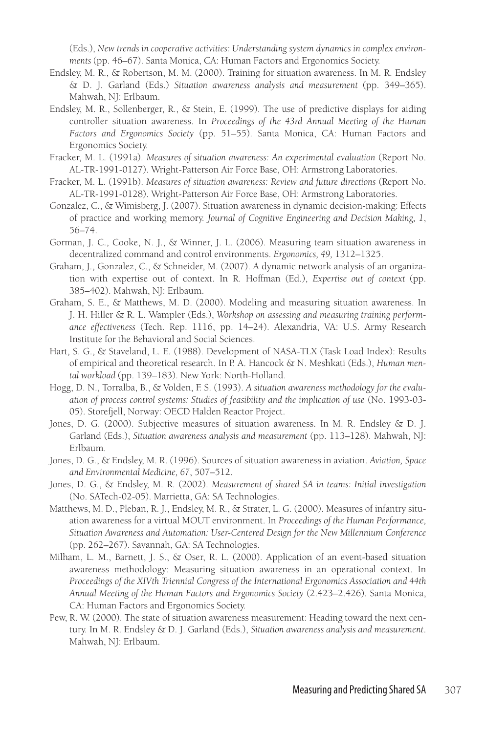(Eds.), *New trends in cooperative activities: Understanding system dynamics in complex environments* (pp. 46–67). Santa Monica, CA: Human Factors and Ergonomics Society.

- Endsley, M. R., & Robertson, M. M. (2000). Training for situation awareness. In M. R. Endsley & D. J. Garland (Eds.) *Situation awareness analysis and measurement* (pp. 349–365). Mahwah, NJ: Erlbaum.
- Endsley, M. R., Sollenberger, R., & Stein, E. (1999). The use of predictive displays for aiding controller situation awareness. In *Proceedings of the 43rd Annual Meeting of the Human Factors and Ergonomics Society* (pp. 51–55). Santa Monica, CA: Human Factors and Ergonomics Society.
- Fracker, M. L. (1991a). *Measures of situation awareness: An experimental evaluation* (Report No. AL-TR-1991-0127). Wright-Patterson Air Force Base, OH: Armstrong Laboratories.
- Fracker, M. L. (1991b). *Measures of situation awareness: Review and future directions* (Report No. AL-TR-1991-0128). Wright-Patterson Air Force Base, OH: Armstrong Laboratories.
- Gonzalez, C., & Wimisberg, J. (2007). Situation awareness in dynamic decision-making: Effects of practice and working memory. *Journal of Cognitive Engineering and Decision Making, 1*, 56–74.
- Gorman, J. C., Cooke, N. J., & Winner, J. L. (2006). Measuring team situation awareness in decentralized command and control environments. *Ergonomics, 49,* 1312–1325.
- Graham, J., Gonzalez, C., & Schneider, M. (2007). A dynamic network analysis of an organization with expertise out of context. In R. Hoffman (Ed.), *Expertise out of context* (pp. 385–402). Mahwah, NJ: Erlbaum.
- Graham, S. E., & Matthews, M. D. (2000). Modeling and measuring situation awareness. In J. H. Hiller & R. L. Wampler (Eds.), *Workshop on assessing and measuring training performance effectiveness* (Tech. Rep. 1116, pp. 14–24). Alexandria, VA: U.S. Army Research Institute for the Behavioral and Social Sciences.
- Hart, S. G., & Staveland, L. E. (1988). Development of NASA-TLX (Task Load Index): Results of empirical and theoretical research. In P. A. Hancock & N. Meshkati (Eds.), *Human mental workload* (pp. 139–183). New York: North-Holland.
- Hogg, D. N., Torralba, B., & Volden, F. S. (1993). *A situation awareness methodology for the evaluation of process control systems: Studies of feasibility and the implication of use* (No. 1993-03- 05). Storefjell, Norway: OECD Halden Reactor Project.
- Jones, D. G. (2000). Subjective measures of situation awareness. In M. R. Endsley & D. J. Garland (Eds.), *Situation awareness analysis and measurement* (pp. 113–128). Mahwah, NJ: Erlbaum.
- Jones, D. G., & Endsley, M. R. (1996). Sources of situation awareness in aviation. *Aviation, Space and Environmental Medicine, 67*, 507–512.
- Jones, D. G., & Endsley, M. R. (2002). *Measurement of shared SA in teams: Initial investigation* (No. SATech-02-05). Marrietta, GA: SA Technologies.
- Matthews, M. D., Pleban, R. J., Endsley, M. R., & Strater, L. G. (2000). Measures of infantry situation awareness for a virtual MOUT environment. In *Proceedings of the Human Performance, Situation Awareness and Automation: User-Centered Design for the New Millennium Conference* (pp. 262–267). Savannah, GA: SA Technologies.
- Milham, L. M., Barnett, J. S., & Oser, R. L. (2000). Application of an event-based situation awareness methodology: Measuring situation awareness in an operational context. In *Proceedings of the XIVth Triennial Congress of the International Ergonomics Association and 44th Annual Meeting of the Human Factors and Ergonomics Society* (2.423–2.426). Santa Monica, CA: Human Factors and Ergonomics Society.
- Pew, R. W. (2000). The state of situation awareness measurement: Heading toward the next century. In M. R. Endsley & D. J. Garland (Eds.), *Situation awareness analysis and measurement*. Mahwah, NJ: Erlbaum.